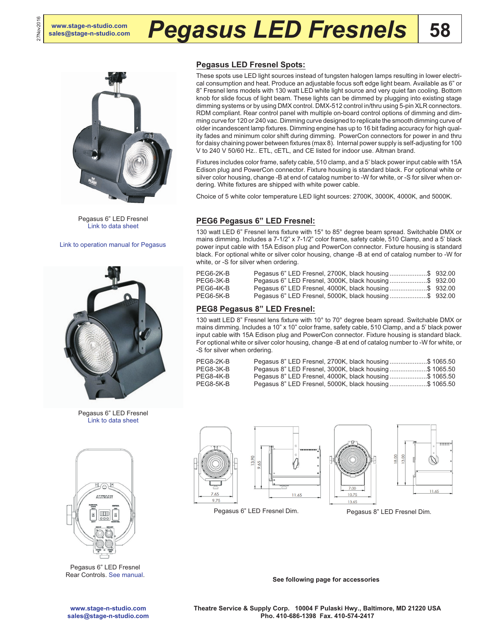27Nov2016



Pegasus 6" LED Fresnel [Link to data sheet](http://www.altmanlighting.com/wp-content/uploads/2016/05/20160407_Pegasus6_DataSheet.pdf)

[Link to operation manual for Pegasus](http://altmanlighting.com/wp-content/uploads/2016/04/PegasusOperationManual.pdf)



Pegasus 6" LED Fresnel [Link to data sheet](http://www.altmanlighting.com/wp-content/uploads/2016/05/Pegasus8_DataSheet_int.pdf)



Pegasus 6" LED Fresnel Rear Controls. [See manual](http://altmanlighting.com/wp-content/uploads/2016/04/PegasusOperationManual.pdf).

## **Pegasus LED Fresnel Spots:**

These spots use LED light sources instead of tungsten halogen lamps resulting in lower electrical consumption and heat. Produce an adjustable focus soft edge light beam. Available as 6" or 8" Fresnel lens models with 130 watt LED white light source and very quiet fan cooling. Bottom knob for slide focus of light beam. These lights can be dimmed by plugging into existing stage dimming systems or by using DMX control. DMX-512 control in/thru using 5-pin XLR connectors. RDM compliant. Rear control panel with multiple on-board control options of dimming and dimming curve for 120 or 240 vac. Dimming curve designed to replicate the smooth dimming curve of older incandescent lamp fixtures. Dimming engine has up to 16 bit fading accuracy for high quality fades and minimum color shift during dimming. PowerCon connectors for power in and thru for daisy chaining power between fixtures (max 8). Internal power supply is self-adjusting for 100 V to 240 V 50/60 Hz.. ETL, cETL, and CE listed for indoor use. Altman brand.

Fixtures includes color frame, safety cable, 510 clamp, and a 5' black power input cable with 15A Edison plug and PowerCon connector. Fixture housing is standard black. For optional white or silver color housing, change -B at end of catalog number to -W for white, or -S for silver when ordering. White fixtures are shipped with white power cable.

Choice of 5 white color temperature LED light sources: 2700K, 3000K, 4000K, and 5000K.

### **PEG6 Pegasus 6" LED Fresnel:**

130 watt LED 6" Fresnel lens fixture with 15° to 85° degree beam spread. Switchable DMX or mains dimming. Includes a 7-1/2" x 7-1/2" color frame, safety cable, 510 Clamp, and a 5' black power input cable with 15A Edison plug and PowerCon connector. Fixture housing is standard black. For optional white or silver color housing, change -B at end of catalog number to -W for white, or -S for silver when ordering.

| PEG6-2K-B | Pegasus 6" LED Fresnel, 2700K, black housing\$ 932.00 |  |
|-----------|-------------------------------------------------------|--|
| PEG6-3K-B | Pegasus 6" LED Fresnel, 3000K, black housing\$ 932.00 |  |
| PEG6-4K-B | Pegasus 6" LED Fresnel, 4000K, black housing\$ 932.00 |  |
| PEG6-5K-B | Pegasus 6" LED Fresnel, 5000K, black housing\$ 932.00 |  |

### **PEG8 Pegasus 8" LED Fresnel:**

130 watt LED 8" Fresnel lens fixture with 10° to 70° degree beam spread. Switchable DMX or mains dimming. Includes a 10" x 10" color frame, safety cable, 510 Clamp, and a 5' black power input cable with 15A Edison plug and PowerCon connector. Fixture housing is standard black. For optional white or silver color housing, change -B at end of catalog number to -W for white, or -S for silver when ordering.

| PEG8-2K-B | Pegasus 8" LED Fresnel, 2700K, black housing\$ 1065.50 |  |
|-----------|--------------------------------------------------------|--|
| PEG8-3K-B | Pegasus 8" LED Fresnel, 3000K, black housing\$ 1065.50 |  |
| PEG8-4K-B | Pegasus 8" LED Fresnel, 4000K, black housing\$ 1065.50 |  |
| PEG8-5K-B | Pegasus 8" LED Fresnel, 5000K, black housing\$ 1065.50 |  |









Pegasus 6" LED Fresnel Dim. Pegasus 8" LED Fresnel Dim.

-65

**See following page for accessories**